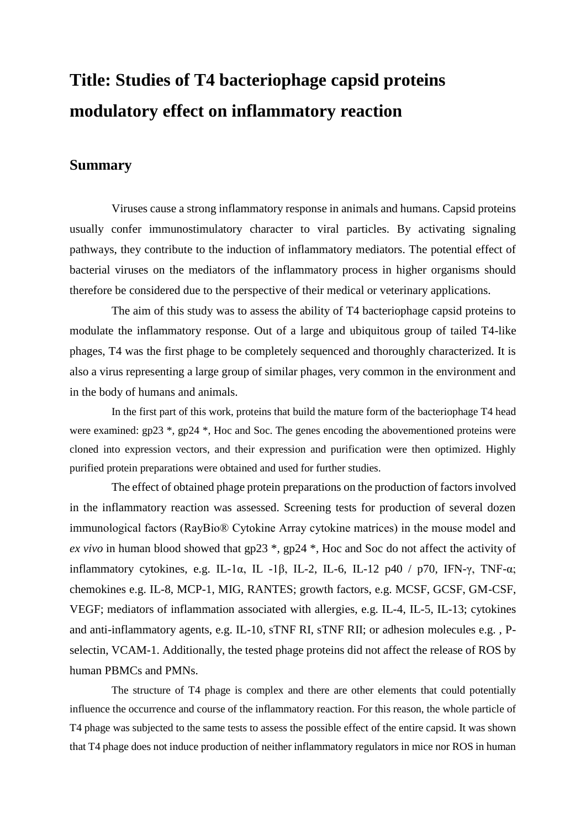## **Title: Studies of T4 bacteriophage capsid proteins modulatory effect on inflammatory reaction**

## **Summary**

Viruses cause a strong inflammatory response in animals and humans. Capsid proteins usually confer immunostimulatory character to viral particles. By activating signaling pathways, they contribute to the induction of inflammatory mediators. The potential effect of bacterial viruses on the mediators of the inflammatory process in higher organisms should therefore be considered due to the perspective of their medical or veterinary applications.

The aim of this study was to assess the ability of T4 bacteriophage capsid proteins to modulate the inflammatory response. Out of a large and ubiquitous group of tailed T4-like phages, T4 was the first phage to be completely sequenced and thoroughly characterized. It is also a virus representing a large group of similar phages, very common in the environment and in the body of humans and animals.

In the first part of this work, proteins that build the mature form of the bacteriophage T4 head were examined: gp23  $*$ , gp24  $*$ , Hoc and Soc. The genes encoding the abovementioned proteins were cloned into expression vectors, and their expression and purification were then optimized. Highly purified protein preparations were obtained and used for further studies.

The effect of obtained phage protein preparations on the production of factors involved in the inflammatory reaction was assessed. Screening tests for production of several dozen immunological factors (RayBio® Cytokine Array cytokine matrices) in the mouse model and *ex vivo* in human blood showed that gp23 \*, gp24 \*, Hoc and Soc do not affect the activity of inflammatory cytokines, e.g. IL-1 $\alpha$ , IL-1 $\beta$ , IL-2, IL-6, IL-12 p40 / p70, IFN- $\gamma$ , TNF- $\alpha$ ; chemokines e.g. IL-8, MCP-1, MIG, RANTES; growth factors, e.g. MCSF, GCSF, GM-CSF, VEGF; mediators of inflammation associated with allergies, e.g. IL-4, IL-5, IL-13; cytokines and anti-inflammatory agents, e.g. IL-10, sTNF RI, sTNF RII; or adhesion molecules e.g. , Pselectin, VCAM-1. Additionally, the tested phage proteins did not affect the release of ROS by human PBMCs and PMNs.

The structure of T4 phage is complex and there are other elements that could potentially influence the occurrence and course of the inflammatory reaction. For this reason, the whole particle of T4 phage was subjected to the same tests to assess the possible effect of the entire capsid. It was shown that T4 phage does not induce production of neither inflammatory regulators in mice nor ROS in human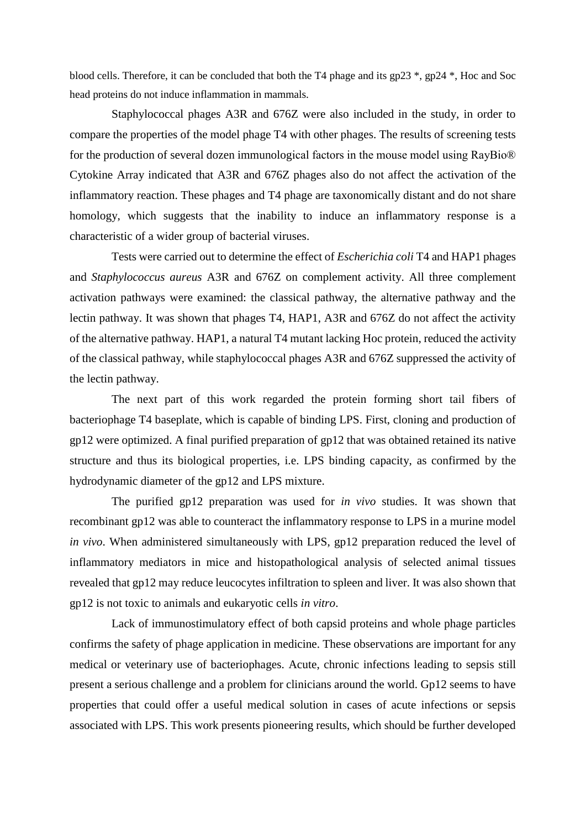blood cells. Therefore, it can be concluded that both the T4 phage and its gp23 \*, gp24 \*, Hoc and Soc head proteins do not induce inflammation in mammals.

Staphylococcal phages A3R and 676Z were also included in the study, in order to compare the properties of the model phage T4 with other phages. The results of screening tests for the production of several dozen immunological factors in the mouse model using RayBio® Cytokine Array indicated that A3R and 676Z phages also do not affect the activation of the inflammatory reaction. These phages and T4 phage are taxonomically distant and do not share homology, which suggests that the inability to induce an inflammatory response is a characteristic of a wider group of bacterial viruses.

Tests were carried out to determine the effect of *Escherichia coli* T4 and HAP1 phages and *Staphylococcus aureus* A3R and 676Z on complement activity. All three complement activation pathways were examined: the classical pathway, the alternative pathway and the lectin pathway. It was shown that phages T4, HAP1, A3R and 676Z do not affect the activity of the alternative pathway. HAP1, a natural T4 mutant lacking Hoc protein, reduced the activity of the classical pathway, while staphylococcal phages A3R and 676Z suppressed the activity of the lectin pathway.

The next part of this work regarded the protein forming short tail fibers of bacteriophage T4 baseplate, which is capable of binding LPS. First, cloning and production of gp12 were optimized. A final purified preparation of gp12 that was obtained retained its native structure and thus its biological properties, i.e. LPS binding capacity, as confirmed by the hydrodynamic diameter of the gp12 and LPS mixture.

The purified gp12 preparation was used for *in vivo* studies. It was shown that recombinant gp12 was able to counteract the inflammatory response to LPS in a murine model *in vivo*. When administered simultaneously with LPS, gp12 preparation reduced the level of inflammatory mediators in mice and histopathological analysis of selected animal tissues revealed that gp12 may reduce leucocytes infiltration to spleen and liver. It was also shown that gp12 is not toxic to animals and eukaryotic cells *in vitro*.

Lack of immunostimulatory effect of both capsid proteins and whole phage particles confirms the safety of phage application in medicine. These observations are important for any medical or veterinary use of bacteriophages. Acute, chronic infections leading to sepsis still present a serious challenge and a problem for clinicians around the world. Gp12 seems to have properties that could offer a useful medical solution in cases of acute infections or sepsis associated with LPS. This work presents pioneering results, which should be further developed